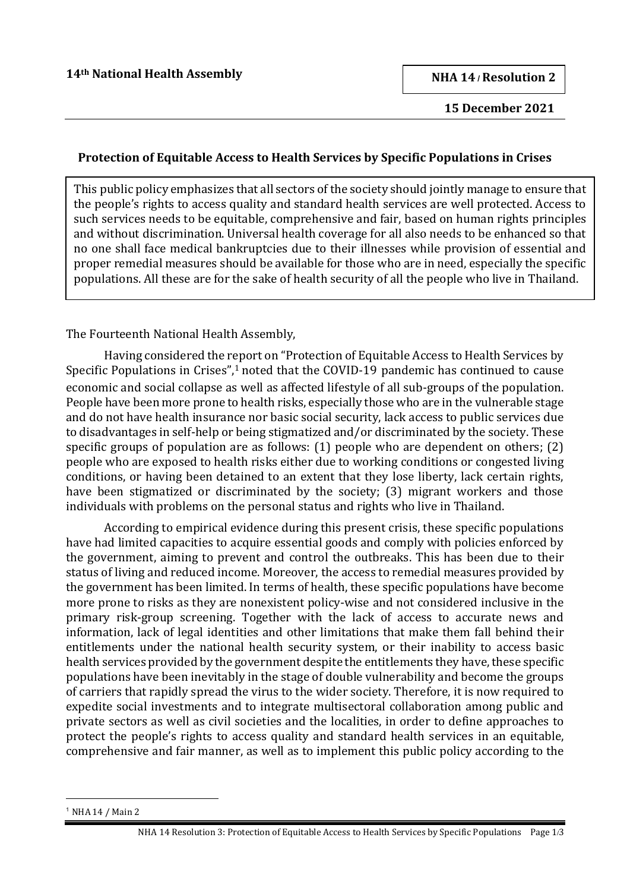## **Protection of Equitable Access to Health Services by Specific Populations in Crises**

This public policy emphasizes that all sectors of the society should jointly manage to ensure that the people's rights to access quality and standard health services are well protected. Access to such services needs to be equitable, comprehensive and fair, based on human rights principles and without discrimination. Universal health coverage for all also needs to be enhanced so that no one shall face medical bankruptcies due to their illnesses while provision of essential and proper remedial measures should be available for those who are in need, especially the specific populations. All these are for the sake of health security of all the people who live in Thailand.

The Fourteenth National Health Assembly,

Having considered the report on "Protection of Equitable Access to Health Services by Specific Populations in Crises", <sup>1</sup> noted that the COVID-19 pandemic has continued to cause economic and social collapse as well as affected lifestyle of all sub-groups of the population. People have been more prone to health risks, especially those who are in the vulnerable stage and do not have health insurance nor basic social security, lack access to public services due to disadvantages in self-help or being stigmatized and/or discriminated by the society. These specific groups of population are as follows: (1) people who are dependent on others; (2) people who are exposed to health risks either due to working conditions or congested living conditions, or having been detained to an extent that they lose liberty, lack certain rights, have been stigmatized or discriminated by the society; (3) migrant workers and those individuals with problems on the personal status and rights who live in Thailand.

According to empirical evidence during this present crisis, these specific populations have had limited capacities to acquire essential goods and comply with policies enforced by the government, aiming to prevent and control the outbreaks. This has been due to their status of living and reduced income. Moreover, the access to remedial measures provided by the government has been limited. In terms of health, these specific populations have become more prone to risks as they are nonexistent policy-wise and not considered inclusive in the primary risk-group screening. Together with the lack of access to accurate news and information, lack of legal identities and other limitations that make them fall behind their entitlements under the national health security system, or their inability to access basic health services provided by the government despite the entitlements they have, these specific populations have been inevitably in the stage of double vulnerability and become the groups of carriers that rapidly spread the virus to the wider society. Therefore, it is now required to expedite social investments and to integrate multisectoral collaboration among public and private sectors as well as civil societies and the localities, in order to define approaches to protect the people's rights to access quality and standard health services in an equitable, comprehensive and fair manner, as well as to implement this public policy according to the

<sup>1</sup> NHA 14 / Main 2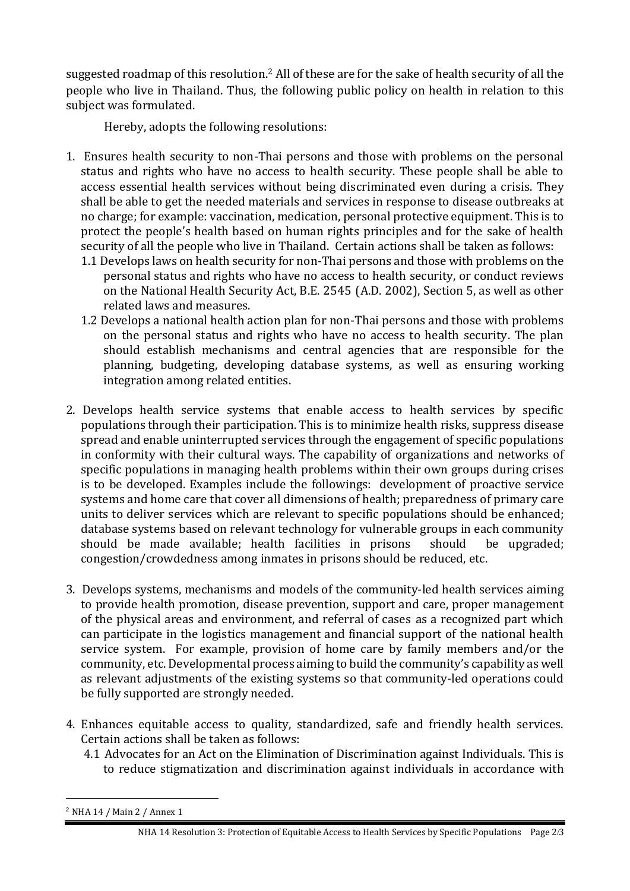suggested roadmap of this resolution.<sup>2</sup> All of these are for the sake of health security of all the people who live in Thailand. Thus, the following public policy on health in relation to this subject was formulated.

Hereby, adopts the following resolutions:

- 1. Ensures health security to non-Thai persons and those with problems on the personal status and rights who have no access to health security. These people shall be able to access essential health services without being discriminated even during a crisis. They shall be able to get the needed materials and services in response to disease outbreaks at no charge; for example: vaccination, medication, personal protective equipment. This is to protect the people's health based on human rights principles and for the sake of health security of all the people who live in Thailand. Certain actions shall be taken as follows:
	- 1.1 Develops laws on health security for non-Thai persons and those with problems on the personal status and rights who have no access to health security, or conduct reviews on the National Health Security Act, B.E. 2545 (A.D. 2002), Section 5, as well as other related laws and measures.
	- 1.2 Develops a national health action plan for non-Thai persons and those with problems on the personal status and rights who have no access to health security. The plan should establish mechanisms and central agencies that are responsible for the planning, budgeting, developing database systems, as well as ensuring working integration among related entities.
- 2. Develops health service systems that enable access to health services by specific populations through their participation. This is to minimize health risks, suppress disease spread and enable uninterrupted services through the engagement of specific populations in conformity with their cultural ways. The capability of organizations and networks of specific populations in managing health problems within their own groups during crises is to be developed. Examples include the followings: development of proactive service systems and home care that cover all dimensions of health; preparedness of primary care units to deliver services which are relevant to specific populations should be enhanced; database systems based on relevant technology for vulnerable groups in each community should be made available; health facilities in prisons should be upgraded; congestion/crowdedness among inmates in prisons should be reduced, etc.
- 3. Develops systems, mechanisms and models of the community-led health services aiming to provide health promotion, disease prevention, support and care, proper management of the physical areas and environment, and referral of cases as a recognized part which can participate in the logistics management and financial support of the national health service system. For example, provision of home care by family members and/or the community, etc. Developmental process aiming to build the community's capability as well as relevant adjustments of the existing systems so that community-led operations could be fully supported are strongly needed.
- 4. Enhances equitable access to quality, standardized, safe and friendly health services. Certain actions shall be taken as follows:
	- 4.1 Advocates for an Act on the Elimination of Discrimination against Individuals. This is to reduce stigmatization and discrimination against individuals in accordance with

<sup>2</sup> NHA 14 / Main 2 / Annex 1